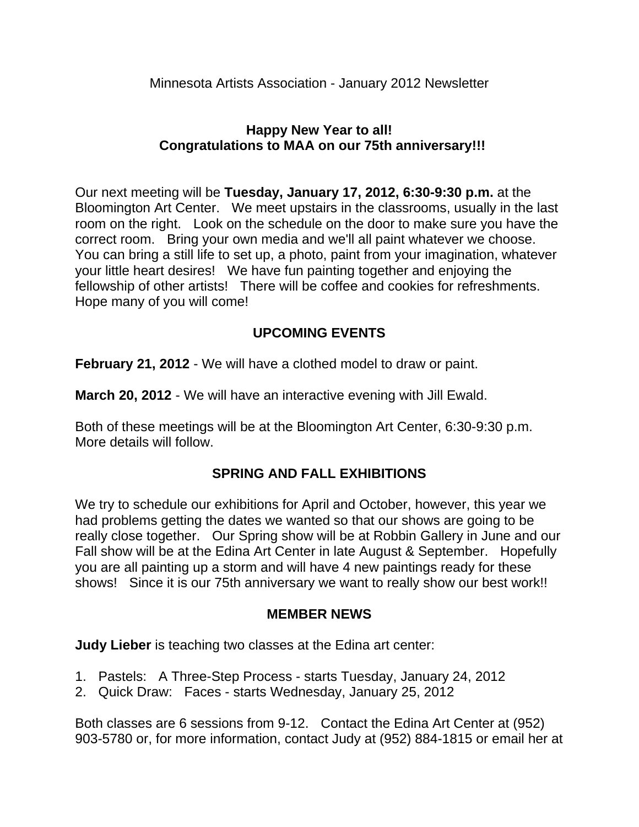# **Happy New Year to all! Congratulations to MAA on our 75th anniversary!!!**

Our next meeting will be **Tuesday, January 17, 2012, 6:30-9:30 p.m.** at the Bloomington Art Center. We meet upstairs in the classrooms, usually in the last room on the right. Look on the schedule on the door to make sure you have the correct room. Bring your own media and we'll all paint whatever we choose. You can bring a still life to set up, a photo, paint from your imagination, whatever your little heart desires! We have fun painting together and enjoying the fellowship of other artists! There will be coffee and cookies for refreshments. Hope many of you will come!

# **UPCOMING EVENTS**

**February 21, 2012** - We will have a clothed model to draw or paint.

**March 20, 2012** - We will have an interactive evening with Jill Ewald.

Both of these meetings will be at the Bloomington Art Center, 6:30-9:30 p.m. More details will follow.

## **SPRING AND FALL EXHIBITIONS**

We try to schedule our exhibitions for April and October, however, this year we had problems getting the dates we wanted so that our shows are going to be really close together. Our Spring show will be at Robbin Gallery in June and our Fall show will be at the Edina Art Center in late August & September. Hopefully you are all painting up a storm and will have 4 new paintings ready for these shows! Since it is our 75th anniversary we want to really show our best work!!

## **MEMBER NEWS**

**Judy Lieber** is teaching two classes at the Edina art center:

- 1. Pastels: A Three-Step Process starts Tuesday, January 24, 2012
- 2. Quick Draw: Faces starts Wednesday, January 25, 2012

Both classes are 6 sessions from 9-12. Contact the Edina Art Center at (952) 903-5780 or, for more information, contact Judy at (952) 884-1815 or email her at